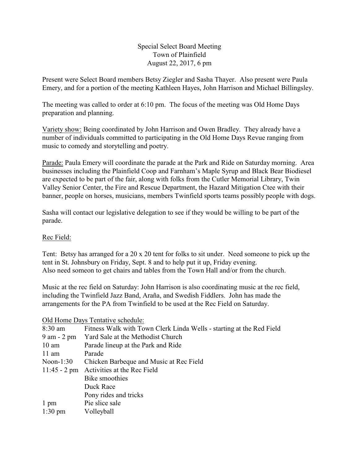Special Select Board Meeting Town of Plainfield August 22, 2017, 6 pm

Present were Select Board members Betsy Ziegler and Sasha Thayer. Also present were Paula Emery, and for a portion of the meeting Kathleen Hayes, John Harrison and Michael Billingsley.

The meeting was called to order at 6:10 pm. The focus of the meeting was Old Home Days preparation and planning.

Variety show: Being coordinated by John Harrison and Owen Bradley. They already have a number of individuals committed to participating in the Old Home Days Revue ranging from music to comedy and storytelling and poetry.

Parade: Paula Emery will coordinate the parade at the Park and Ride on Saturday morning. Area businesses including the Plainfield Coop and Farnham's Maple Syrup and Black Bear Biodiesel are expected to be part of the fair, along with folks from the Cutler Memorial Library, Twin Valley Senior Center, the Fire and Rescue Department, the Hazard Mitigation Ctee with their banner, people on horses, musicians, members Twinfield sports teams possibly people with dogs.

Sasha will contact our legislative delegation to see if they would be willing to be part of the parade.

## Rec Field:

Tent: Betsy has arranged for a 20 x 20 tent for folks to sit under. Need someone to pick up the tent in St. Johnsbury on Friday, Sept. 8 and to help put it up, Friday evening. Also need someon to get chairs and tables from the Town Hall and/or from the church.

Music at the rec field on Saturday: John Harrison is also coordinating music at the rec field, including the Twinfield Jazz Band, Araña, and Swedish Fiddlers. John has made the arrangements for the PA from Twinfield to be used at the Rec Field on Saturday.

## Old Home Days Tentative schedule:

| $8:30$ am         | Fitness Walk with Town Clerk Linda Wells - starting at the Red Field |
|-------------------|----------------------------------------------------------------------|
| $9$ am $-2$ pm    | Yard Sale at the Methodist Church                                    |
| $10 \text{ am}$   | Parade lineup at the Park and Ride                                   |
| $11$ am           | Parade                                                               |
| Noon- $1:30$      | Chicken Barbeque and Music at Rec Field                              |
| $11:45 - 2$ pm    | Activities at the Rec Field                                          |
|                   | Bike smoothies                                                       |
|                   | Duck Race                                                            |
|                   | Pony rides and tricks                                                |
| $1 \text{ pm}$    | Pie slice sale                                                       |
| $1:30 \text{ pm}$ | Volleyball                                                           |
|                   |                                                                      |